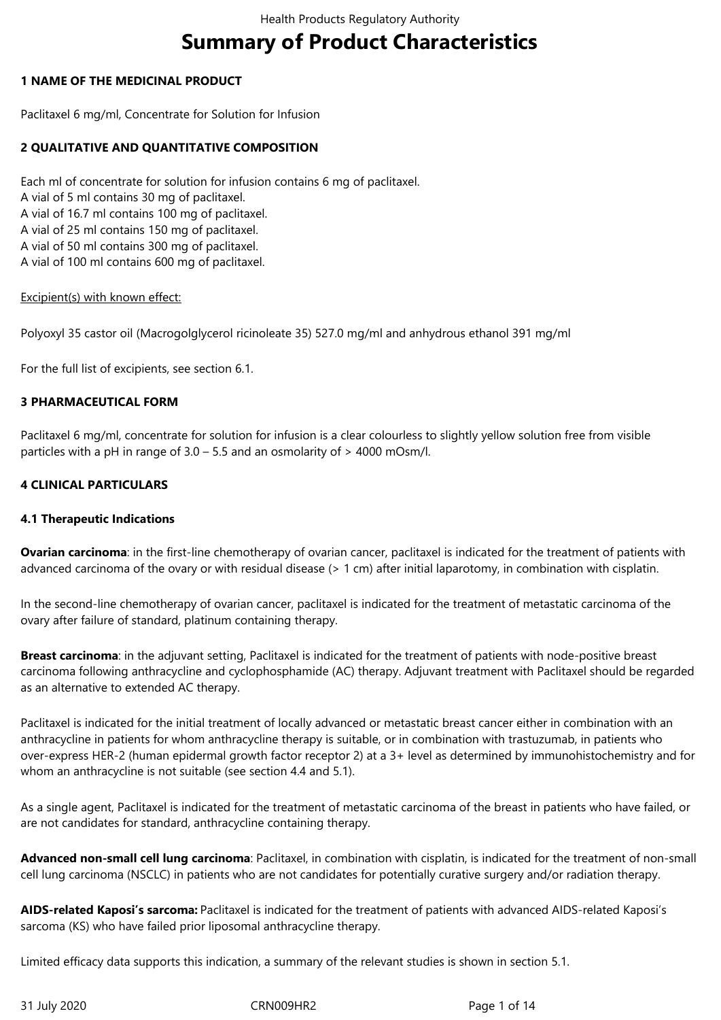# **Summary of Product Characteristics**

## **1 NAME OF THE MEDICINAL PRODUCT**

Paclitaxel 6 mg/ml, Concentrate for Solution for Infusion

## **2 QUALITATIVE AND QUANTITATIVE COMPOSITION**

Each ml of concentrate for solution for infusion contains 6 mg of paclitaxel. A vial of 5 ml contains 30 mg of paclitaxel. A vial of 16.7 ml contains 100 mg of paclitaxel. A vial of 25 ml contains 150 mg of paclitaxel. A vial of 50 ml contains 300 mg of paclitaxel. A vial of 100 ml contains 600 mg of paclitaxel.

#### Excipient(s) with known effect:

Polyoxyl 35 castor oil (Macrogolglycerol ricinoleate 35) 527.0 mg/ml and anhydrous ethanol 391 mg/ml

For the full list of excipients, see section 6.1.

#### **3 PHARMACEUTICAL FORM**

Paclitaxel 6 mg/ml, concentrate for solution for infusion is a clear colourless to slightly yellow solution free from visible particles with a pH in range of 3.0 – 5.5 and an osmolarity of > 4000 mOsm/l.

## **4 CLINICAL PARTICULARS**

#### **4.1 Therapeutic Indications**

**Ovarian carcinoma**: in the first-line chemotherapy of ovarian cancer, paclitaxel is indicated for the treatment of patients with advanced carcinoma of the ovary or with residual disease (> 1 cm) after initial laparotomy, in combination with cisplatin.

In the second-line chemotherapy of ovarian cancer, paclitaxel is indicated for the treatment of metastatic carcinoma of the ovary after failure of standard, platinum containing therapy.

**Breast carcinoma**: in the adjuvant setting, Paclitaxel is indicated for the treatment of patients with node-positive breast carcinoma following anthracycline and cyclophosphamide (AC) therapy. Adjuvant treatment with Paclitaxel should be regarded as an alternative to extended AC therapy.

Paclitaxel is indicated for the initial treatment of locally advanced or metastatic breast cancer either in combination with an anthracycline in patients for whom anthracycline therapy is suitable, or in combination with trastuzumab, in patients who over-express HER-2 (human epidermal growth factor receptor 2) at a 3+ level as determined by immunohistochemistry and for whom an anthracycline is not suitable (see section 4.4 and 5.1).

As a single agent, Paclitaxel is indicated for the treatment of metastatic carcinoma of the breast in patients who have failed, or are not candidates for standard, anthracycline containing therapy.

**Advanced non-small cell lung carcinoma**: Paclitaxel, in combination with cisplatin, is indicated for the treatment of non-small cell lung carcinoma (NSCLC) in patients who are not candidates for potentially curative surgery and/or radiation therapy.

**AIDS-related Kaposi's sarcoma:** Paclitaxel is indicated for the treatment of patients with advanced AIDS-related Kaposi's sarcoma (KS) who have failed prior liposomal anthracycline therapy.

Limited efficacy data supports this indication, a summary of the relevant studies is shown in section 5.1.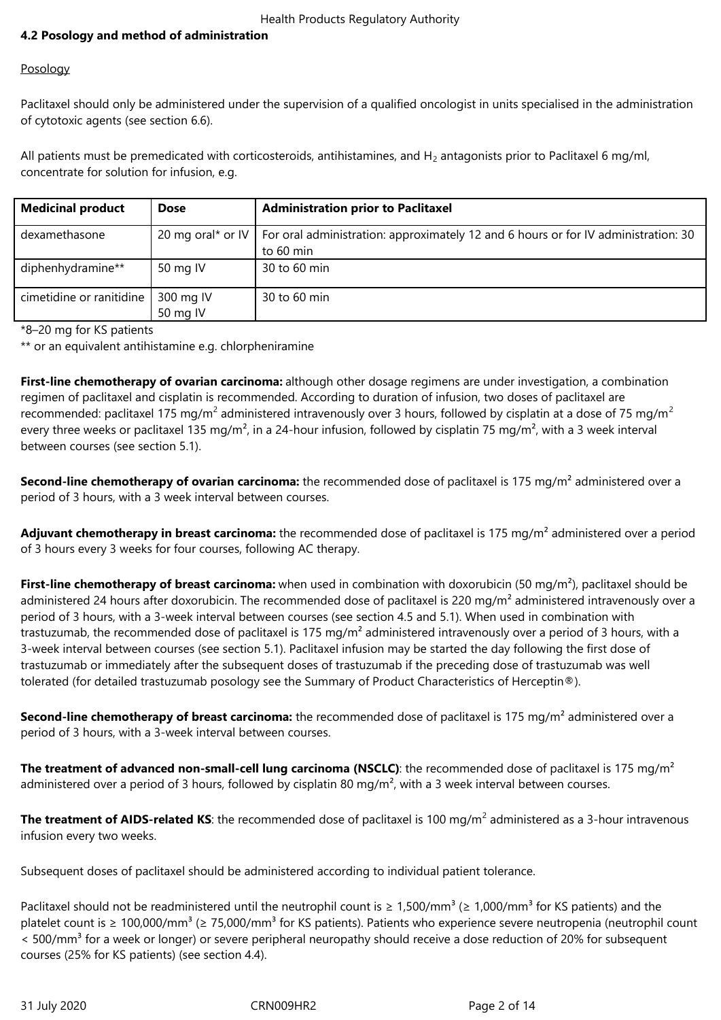# **4.2 Posology and method of administration**

## Posology

Paclitaxel should only be administered under the supervision of a qualified oncologist in units specialised in the administration of cytotoxic agents (see section 6.6).

All patients must be premedicated with corticosteroids, antihistamines, and  $H_2$  antagonists prior to Paclitaxel 6 mg/ml, concentrate for solution for infusion, e.g.

| <b>Medicinal product</b> | <b>Dose</b> | <b>Administration prior to Paclitaxel</b>                                                              |
|--------------------------|-------------|--------------------------------------------------------------------------------------------------------|
| dexamethasone            |             | 20 mg oral* or IV   For oral administration: approximately 12 and 6 hours or for IV administration: 30 |
|                          |             | to 60 min                                                                                              |
| diphenhydramine**        | 50 mg IV    | 30 to 60 min                                                                                           |
| cimetidine or ranitidine | 300 mg IV   | 30 to 60 min                                                                                           |
|                          | 50 mg IV    |                                                                                                        |

\*8–20 mg for KS patients

\*\* or an equivalent antihistamine e.g. chlorpheniramine

**First-line chemotherapy of ovarian carcinoma:** although other dosage regimens are under investigation, a combination regimen of paclitaxel and cisplatin is recommended. According to duration of infusion, two doses of paclitaxel are recommended: paclitaxel 175 mg/m<sup>2</sup> administered intravenously over 3 hours, followed by cisplatin at a dose of 75 mg/m<sup>2</sup> every three weeks or paclitaxel 135 mg/m<sup>2</sup>, in a 24-hour infusion, followed by cisplatin 75 mg/m<sup>2</sup>, with a 3 week interval between courses (see section 5.1).

**Second-line chemotherapy of ovarian carcinoma:** the recommended dose of paclitaxel is 175 mg/m² administered over a period of 3 hours, with a 3 week interval between courses.

Adjuvant chemotherapy in breast carcinoma: the recommended dose of paclitaxel is 175 mg/m<sup>2</sup> administered over a period of 3 hours every 3 weeks for four courses, following AC therapy.

**First-line chemotherapy of breast carcinoma:** when used in combination with doxorubicin (50 mg/m²), paclitaxel should be administered 24 hours after doxorubicin. The recommended dose of paclitaxel is 220 mg/m<sup>2</sup> administered intravenously over a period of 3 hours, with a 3-week interval between courses (see section 4.5 and 5.1). When used in combination with trastuzumab, the recommended dose of paclitaxel is 175 mg/m<sup>2</sup> administered intravenously over a period of 3 hours, with a 3-week interval between courses (see section 5.1). Paclitaxel infusion may be started the day following the first dose of trastuzumab or immediately after the subsequent doses of trastuzumab if the preceding dose of trastuzumab was well tolerated (for detailed trastuzumab posology see the Summary of Product Characteristics of Herceptin®).

**Second-line chemotherapy of breast carcinoma:** the recommended dose of paclitaxel is 175 mg/m² administered over a period of 3 hours, with a 3-week interval between courses.

**The treatment of advanced non-small-cell lung carcinoma (NSCLC)**: the recommended dose of paclitaxel is 175 mg/m<sup>2</sup> administered over a period of 3 hours, followed by cisplatin 80 mg/m<sup>2</sup>, with a 3 week interval between courses.

**The treatment of AIDS-related KS**: the recommended dose of paclitaxel is 100 mg/m<sup>2</sup> administered as a 3-hour intravenous infusion every two weeks.

Subsequent doses of paclitaxel should be administered according to individual patient tolerance.

Paclitaxel should not be readministered until the neutrophil count is  $\geq 1,500/mm^3$  ( $\geq 1,000/mm^3$  for KS patients) and the platelet count is  $\geq 100,000/\text{mm}^3$  ( $\geq 75,000/\text{mm}^3$  for KS patients). Patients who experience severe neutropenia (neutrophil count < 500/mm<sup>3</sup> for a week or longer) or severe peripheral neuropathy should receive a dose reduction of 20% for subsequent courses (25% for KS patients) (see section 4.4).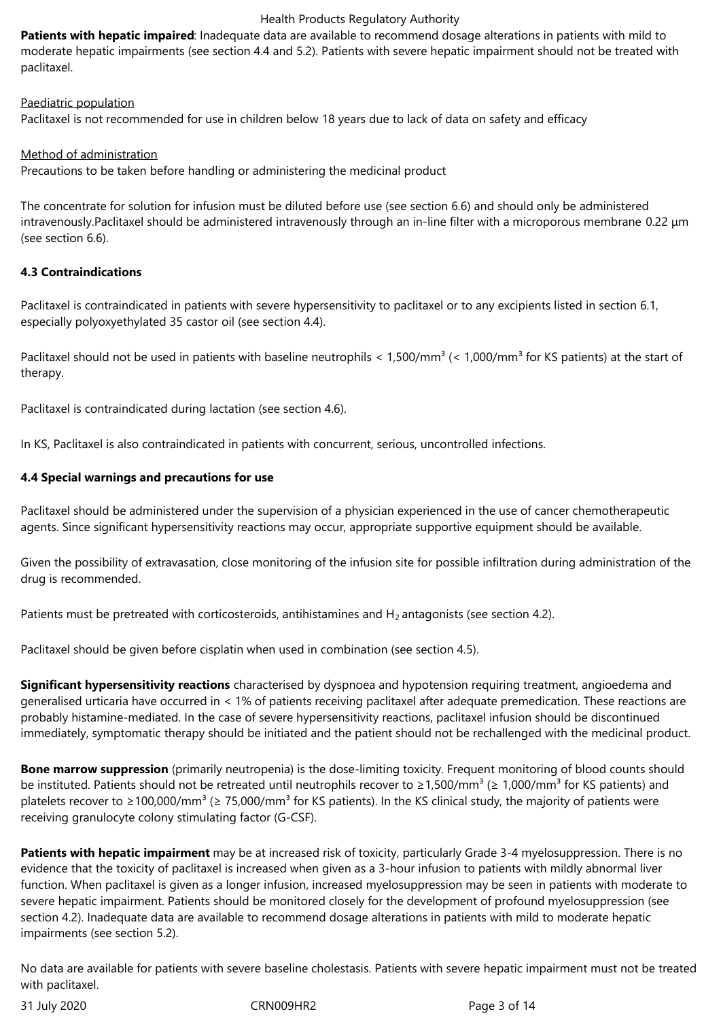**Patients with hepatic impaired**: Inadequate data are available to recommend dosage alterations in patients with mild to moderate hepatic impairments (see section 4.4 and 5.2). Patients with severe hepatic impairment should not be treated with paclitaxel.

Paediatric population

Paclitaxel is not recommended for use in children below 18 years due to lack of data on safety and efficacy

Method of administration

Precautions to be taken before handling or administering the medicinal product

The concentrate for solution for infusion must be diluted before use (see section 6.6) and should only be administered intravenously.Paclitaxel should be administered intravenously through an in-line filter with a microporous membrane 0.22 μm (see section 6.6).

## **4.3 Contraindications**

Paclitaxel is contraindicated in patients with severe hypersensitivity to paclitaxel or to any excipients listed in section 6.1, especially polyoxyethylated 35 castor oil (see section 4.4).

Paclitaxel should not be used in patients with baseline neutrophils  $\lt 1,500/\text{mm}^3$  ( $\lt 1,000/\text{mm}^3$  for KS patients) at the start of therapy.

Paclitaxel is contraindicated during lactation (see section 4.6).

In KS, Paclitaxel is also contraindicated in patients with concurrent, serious, uncontrolled infections.

## **4.4 Special warnings and precautions for use**

Paclitaxel should be administered under the supervision of a physician experienced in the use of cancer chemotherapeutic agents. Since significant hypersensitivity reactions may occur, appropriate supportive equipment should be available.

Given the possibility of extravasation, close monitoring of the infusion site for possible infiltration during administration of the drug is recommended.

Patients must be pretreated with corticosteroids, antihistamines and  $H_2$  antagonists (see section 4.2).

Paclitaxel should be given before cisplatin when used in combination (see section 4.5).

**Significant hypersensitivity reactions** characterised by dyspnoea and hypotension requiring treatment, angioedema and generalised urticaria have occurred in < 1% of patients receiving paclitaxel after adequate premedication. These reactions are probably histamine-mediated. In the case of severe hypersensitivity reactions, paclitaxel infusion should be discontinued immediately, symptomatic therapy should be initiated and the patient should not be rechallenged with the medicinal product.

**Bone marrow suppression** (primarily neutropenia) is the dose-limiting toxicity. Frequent monitoring of blood counts should be instituted. Patients should not be retreated until neutrophils recover to  $\geq 1,500/mm^3$  ( $\geq 1,000/mm^3$  for KS patients) and platelets recover to ≥100,000/mm<sup>3</sup> (≥ 75,000/mm<sup>3</sup> for KS patients). In the KS clinical study, the majority of patients were receiving granulocyte colony stimulating factor (G-CSF).

**Patients with hepatic impairment** may be at increased risk of toxicity, particularly Grade 3‑4 myelosuppression. There is no evidence that the toxicity of paclitaxel is increased when given as a 3‑hour infusion to patients with mildly abnormal liver function. When paclitaxel is given as a longer infusion, increased myelosuppression may be seen in patients with moderate to severe hepatic impairment. Patients should be monitored closely for the development of profound myelosuppression (see section 4.2). Inadequate data are available to recommend dosage alterations in patients with mild to moderate hepatic impairments (see section 5.2).

No data are available for patients with severe baseline cholestasis. Patients with severe hepatic impairment must not be treated with paclitaxel.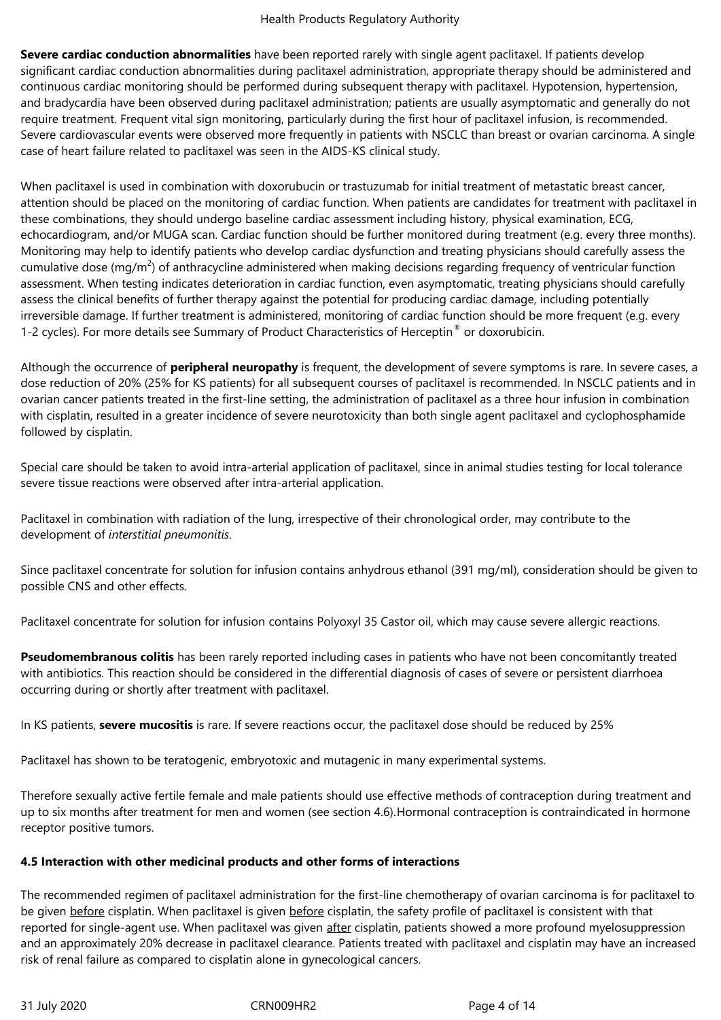**Severe cardiac conduction abnormalities** have been reported rarely with single agent paclitaxel. If patients develop significant cardiac conduction abnormalities during paclitaxel administration, appropriate therapy should be administered and continuous cardiac monitoring should be performed during subsequent therapy with paclitaxel. Hypotension, hypertension, and bradycardia have been observed during paclitaxel administration; patients are usually asymptomatic and generally do not require treatment. Frequent vital sign monitoring, particularly during the first hour of paclitaxel infusion, is recommended. Severe cardiovascular events were observed more frequently in patients with NSCLC than breast or ovarian carcinoma. A single case of heart failure related to paclitaxel was seen in the AIDS-KS clinical study.

When paclitaxel is used in combination with doxorubucin or trastuzumab for initial treatment of metastatic breast cancer, attention should be placed on the monitoring of cardiac function. When patients are candidates for treatment with paclitaxel in these combinations, they should undergo baseline cardiac assessment including history, physical examination, ECG, echocardiogram, and/or MUGA scan. Cardiac function should be further monitored during treatment (e.g. every three months). Monitoring may help to identify patients who develop cardiac dysfunction and treating physicians should carefully assess the cumulative dose (mg/m<sup>2</sup>) of anthracycline administered when making decisions regarding frequency of ventricular function assessment. When testing indicates deterioration in cardiac function, even asymptomatic, treating physicians should carefully assess the clinical benefits of further therapy against the potential for producing cardiac damage, including potentially irreversible damage. If further treatment is administered, monitoring of cardiac function should be more frequent (e.g. every 1-2 cycles). For more details see Summary of Product Characteristics of Herceptin<sup>®</sup> or doxorubicin.

Although the occurrence of **peripheral neuropathy** is frequent, the development of severe symptoms is rare. In severe cases, a dose reduction of 20% (25% for KS patients) for all subsequent courses of paclitaxel is recommended. In NSCLC patients and in ovarian cancer patients treated in the first-line setting, the administration of paclitaxel as a three hour infusion in combination with cisplatin, resulted in a greater incidence of severe neurotoxicity than both single agent paclitaxel and cyclophosphamide followed by cisplatin.

Special care should be taken to avoid intra-arterial application of paclitaxel, since in animal studies testing for local tolerance severe tissue reactions were observed after intra-arterial application.

Paclitaxel in combination with radiation of the lung, irrespective of their chronological order, may contribute to the development of *interstitial pneumonitis*.

Since paclitaxel concentrate for solution for infusion contains anhydrous ethanol (391 mg/ml), consideration should be given to possible CNS and other effects.

Paclitaxel concentrate for solution for infusion contains Polyoxyl 35 Castor oil, which may cause severe allergic reactions.

**Pseudomembranous colitis** has been rarely reported including cases in patients who have not been concomitantly treated with antibiotics. This reaction should be considered in the differential diagnosis of cases of severe or persistent diarrhoea occurring during or shortly after treatment with paclitaxel.

In KS patients, **severe mucositis** is rare. If severe reactions occur, the paclitaxel dose should be reduced by 25%

Paclitaxel has shown to be teratogenic, embryotoxic and mutagenic in many experimental systems.

Therefore sexually active fertile female and male patients should use effective methods of contraception during treatment and up to six months after treatment for men and women (see section 4.6).Hormonal contraception is contraindicated in hormone receptor positive tumors.

## **4.5 Interaction with other medicinal products and other forms of interactions**

The recommended regimen of paclitaxel administration for the first-line chemotherapy of ovarian carcinoma is for paclitaxel to be given before cisplatin. When paclitaxel is given before cisplatin, the safety profile of paclitaxel is consistent with that reported for single-agent use. When paclitaxel was given after cisplatin, patients showed a more profound myelosuppression and an approximately 20% decrease in paclitaxel clearance. Patients treated with paclitaxel and cisplatin may have an increased risk of renal failure as compared to cisplatin alone in gynecological cancers.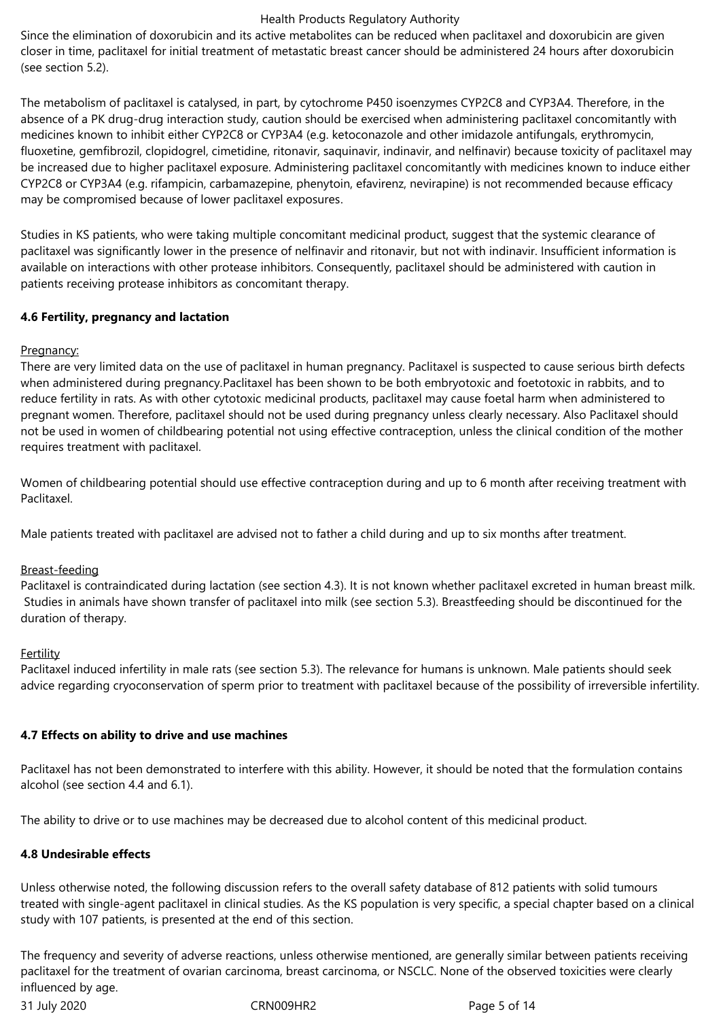Since the elimination of doxorubicin and its active metabolites can be reduced when paclitaxel and doxorubicin are given closer in time, paclitaxel for initial treatment of metastatic breast cancer should be administered 24 hours after doxorubicin (see section 5.2).

The metabolism of paclitaxel is catalysed, in part, by cytochrome P450 isoenzymes CYP2C8 and CYP3A4. Therefore, in the absence of a PK drug-drug interaction study, caution should be exercised when administering paclitaxel concomitantly with medicines known to inhibit either CYP2C8 or CYP3A4 (e.g. ketoconazole and other imidazole antifungals, erythromycin, fluoxetine, gemfibrozil, clopidogrel, cimetidine, ritonavir, saquinavir, indinavir, and nelfinavir) because toxicity of paclitaxel may be increased due to higher paclitaxel exposure. Administering paclitaxel concomitantly with medicines known to induce either CYP2C8 or CYP3A4 (e.g. rifampicin, carbamazepine, phenytoin, efavirenz, nevirapine) is not recommended because efficacy may be compromised because of lower paclitaxel exposures.

Studies in KS patients, who were taking multiple concomitant medicinal product, suggest that the systemic clearance of paclitaxel was significantly lower in the presence of nelfinavir and ritonavir, but not with indinavir. Insufficient information is available on interactions with other protease inhibitors. Consequently, paclitaxel should be administered with caution in patients receiving protease inhibitors as concomitant therapy.

## **4.6 Fertility, pregnancy and lactation**

## Pregnancy:

There are very limited data on the use of paclitaxel in human pregnancy. Paclitaxel is suspected to cause serious birth defects when administered during pregnancy.Paclitaxel has been shown to be both embryotoxic and foetotoxic in rabbits, and to reduce fertility in rats. As with other cytotoxic medicinal products, paclitaxel may cause foetal harm when administered to pregnant women. Therefore, paclitaxel should not be used during pregnancy unless clearly necessary. Also Paclitaxel should not be used in women of childbearing potential not using effective contraception, unless the clinical condition of the mother requires treatment with paclitaxel.

Women of childbearing potential should use effective contraception during and up to 6 month after receiving treatment with Paclitaxel.

Male patients treated with paclitaxel are advised not to father a child during and up to six months after treatment.

#### Breast-feeding

Paclitaxel is contraindicated during lactation (see section 4.3). It is not known whether paclitaxel excreted in human breast milk. Studies in animals have shown transfer of paclitaxel into milk (see section 5.3). Breastfeeding should be discontinued for the duration of therapy.

#### **Fertility**

Paclitaxel induced infertility in male rats (see section 5.3). The relevance for humans is unknown. Male patients should seek advice regarding cryoconservation of sperm prior to treatment with paclitaxel because of the possibility of irreversible infertility.

## **4.7 Effects on ability to drive and use machines**

Paclitaxel has not been demonstrated to interfere with this ability. However, it should be noted that the formulation contains alcohol (see section 4.4 and 6.1).

The ability to drive or to use machines may be decreased due to alcohol content of this medicinal product.

#### **4.8 Undesirable effects**

Unless otherwise noted, the following discussion refers to the overall safety database of 812 patients with solid tumours treated with single-agent paclitaxel in clinical studies. As the KS population is very specific, a special chapter based on a clinical study with 107 patients, is presented at the end of this section.

31 July 2020 CRN009HR2 Page 5 of 14 The frequency and severity of adverse reactions, unless otherwise mentioned, are generally similar between patients receiving paclitaxel for the treatment of ovarian carcinoma, breast carcinoma, or NSCLC. None of the observed toxicities were clearly influenced by age.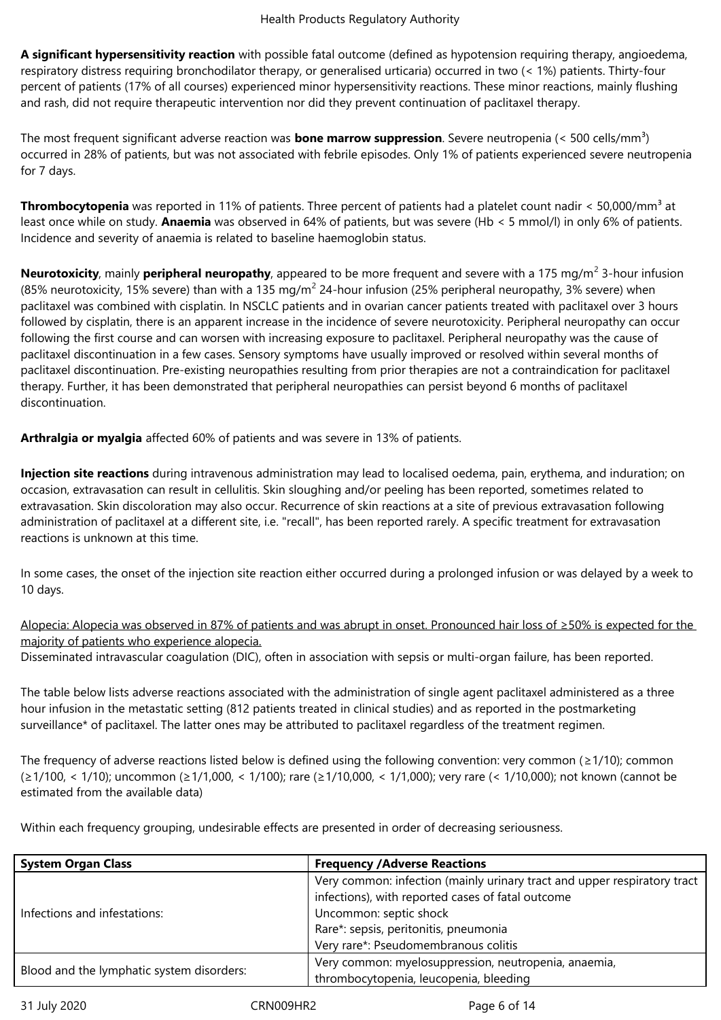**A significant hypersensitivity reaction** with possible fatal outcome (defined as hypotension requiring therapy, angioedema, respiratory distress requiring bronchodilator therapy, or generalised urticaria) occurred in two (< 1%) patients. Thirty-four percent of patients (17% of all courses) experienced minor hypersensitivity reactions. These minor reactions, mainly flushing and rash, did not require therapeutic intervention nor did they prevent continuation of paclitaxel therapy.

The most frequent significant adverse reaction was **bone marrow suppression**. Severe neutropenia (< 500 cells/mm<sup>3</sup>) occurred in 28% of patients, but was not associated with febrile episodes. Only 1% of patients experienced severe neutropenia for 7 days.

**Thrombocytopenia** was reported in 11% of patients. Three percent of patients had a platelet count nadir < 50,000/mm<sup>3</sup> at least once while on study. **Anaemia** was observed in 64% of patients, but was severe (Hb < 5 mmol/l) in only 6% of patients. Incidence and severity of anaemia is related to baseline haemoglobin status.

**Neurotoxicity**, mainly **peripheral neuropathy**, appeared to be more frequent and severe with a 175 mg/m<sup>2</sup> 3-hour infusion (85% neurotoxicity, 15% severe) than with a 135 mg/m<sup>2</sup> 24-hour infusion (25% peripheral neuropathy, 3% severe) when paclitaxel was combined with cisplatin. In NSCLC patients and in ovarian cancer patients treated with paclitaxel over 3 hours followed by cisplatin, there is an apparent increase in the incidence of severe neurotoxicity. Peripheral neuropathy can occur following the first course and can worsen with increasing exposure to paclitaxel. Peripheral neuropathy was the cause of paclitaxel discontinuation in a few cases. Sensory symptoms have usually improved or resolved within several months of paclitaxel discontinuation. Pre-existing neuropathies resulting from prior therapies are not a contraindication for paclitaxel therapy. Further, it has been demonstrated that peripheral neuropathies can persist beyond 6 months of paclitaxel discontinuation.

**Arthralgia or myalgia** affected 60% of patients and was severe in 13% of patients.

**Injection site reactions** during intravenous administration may lead to localised oedema, pain, erythema, and induration; on occasion, extravasation can result in cellulitis. Skin sloughing and/or peeling has been reported, sometimes related to extravasation. Skin discoloration may also occur. Recurrence of skin reactions at a site of previous extravasation following administration of paclitaxel at a different site, i.e. "recall", has been reported rarely. A specific treatment for extravasation reactions is unknown at this time.

In some cases, the onset of the injection site reaction either occurred during a prolonged infusion or was delayed by a week to 10 days.

Alopecia: Alopecia was observed in 87% of patients and was abrupt in onset. Pronounced hair loss of ≥50% is expected for the majority of patients who experience alopecia.

Disseminated intravascular coagulation (DIC), often in association with sepsis or multi-organ failure, has been reported.

The table below lists adverse reactions associated with the administration of single agent paclitaxel administered as a three hour infusion in the metastatic setting (812 patients treated in clinical studies) and as reported in the postmarketing surveillance\* of paclitaxel. The latter ones may be attributed to paclitaxel regardless of the treatment regimen.

The frequency of adverse reactions listed below is defined using the following convention: very common ( $\geq 1/10$ ); common (≥1/100, < 1/10); uncommon (≥1/1,000, < 1/100); rare (≥1/10,000, < 1/1,000); very rare (< 1/10,000); not known (cannot be estimated from the available data)

Within each frequency grouping, undesirable effects are presented in order of decreasing seriousness.

| <b>System Organ Class</b>                 | <b>Frequency /Adverse Reactions</b>                                                                                                                                                                                                      |
|-------------------------------------------|------------------------------------------------------------------------------------------------------------------------------------------------------------------------------------------------------------------------------------------|
| Infections and infestations:              | Very common: infection (mainly urinary tract and upper respiratory tract<br>infections), with reported cases of fatal outcome<br>Uncommon: septic shock<br>Rare*: sepsis, peritonitis, pneumonia<br>Very rare*: Pseudomembranous colitis |
|                                           | Very common: myelosuppression, neutropenia, anaemia,                                                                                                                                                                                     |
| Blood and the lymphatic system disorders: | thrombocytopenia, leucopenia, bleeding                                                                                                                                                                                                   |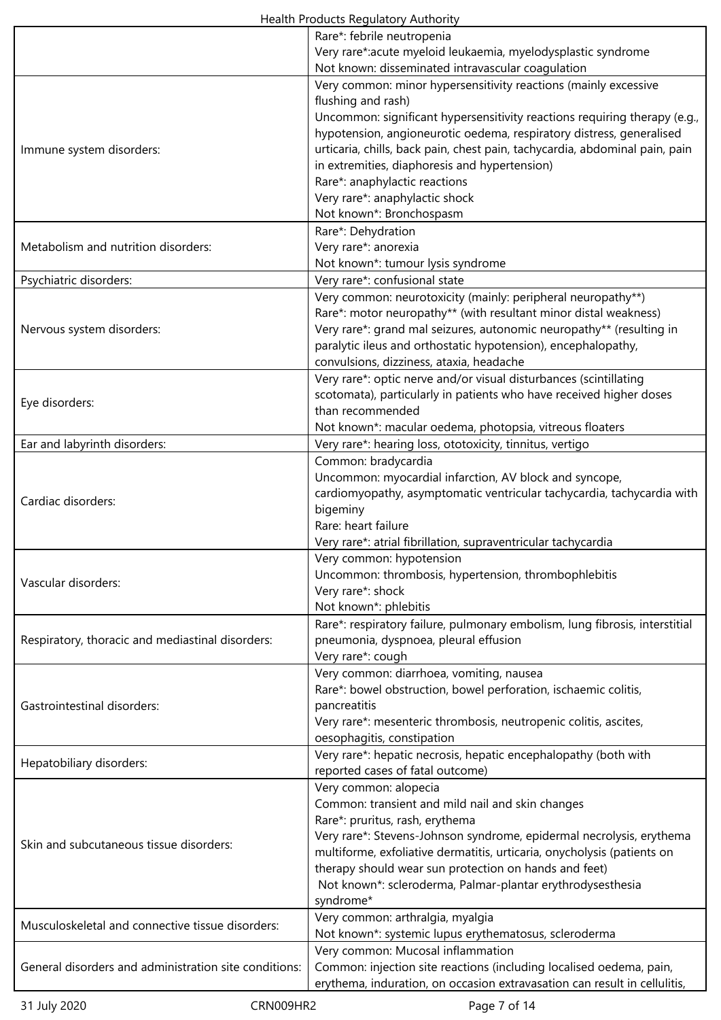|                                                       | Rare*: febrile neutropenia                                                  |
|-------------------------------------------------------|-----------------------------------------------------------------------------|
|                                                       | Very rare*:acute myeloid leukaemia, myelodysplastic syndrome                |
|                                                       | Not known: disseminated intravascular coagulation                           |
|                                                       | Very common: minor hypersensitivity reactions (mainly excessive             |
|                                                       | flushing and rash)                                                          |
|                                                       | Uncommon: significant hypersensitivity reactions requiring therapy (e.g.,   |
|                                                       | hypotension, angioneurotic oedema, respiratory distress, generalised        |
|                                                       | urticaria, chills, back pain, chest pain, tachycardia, abdominal pain, pain |
| Immune system disorders:                              |                                                                             |
|                                                       | in extremities, diaphoresis and hypertension)                               |
|                                                       | Rare*: anaphylactic reactions                                               |
|                                                       | Very rare*: anaphylactic shock                                              |
|                                                       | Not known*: Bronchospasm                                                    |
|                                                       | Rare*: Dehydration                                                          |
| Metabolism and nutrition disorders:                   | Very rare*: anorexia                                                        |
|                                                       | Not known*: tumour lysis syndrome                                           |
| Psychiatric disorders:                                | Very rare*: confusional state                                               |
|                                                       | Very common: neurotoxicity (mainly: peripheral neuropathy**)                |
|                                                       | Rare*: motor neuropathy** (with resultant minor distal weakness)            |
| Nervous system disorders:                             | Very rare*: grand mal seizures, autonomic neuropathy** (resulting in        |
|                                                       | paralytic ileus and orthostatic hypotension), encephalopathy,               |
|                                                       | convulsions, dizziness, ataxia, headache                                    |
|                                                       | Very rare*: optic nerve and/or visual disturbances (scintillating           |
|                                                       |                                                                             |
| Eye disorders:                                        | scotomata), particularly in patients who have received higher doses         |
|                                                       | than recommended                                                            |
|                                                       | Not known*: macular oedema, photopsia, vitreous floaters                    |
| Ear and labyrinth disorders:                          | Very rare*: hearing loss, ototoxicity, tinnitus, vertigo                    |
|                                                       | Common: bradycardia                                                         |
|                                                       | Uncommon: myocardial infarction, AV block and syncope,                      |
| Cardiac disorders:                                    | cardiomyopathy, asymptomatic ventricular tachycardia, tachycardia with      |
|                                                       | bigeminy                                                                    |
|                                                       | Rare: heart failure                                                         |
|                                                       | Very rare*: atrial fibrillation, supraventricular tachycardia               |
|                                                       | Very common: hypotension                                                    |
|                                                       | Uncommon: thrombosis, hypertension, thrombophlebitis                        |
| Vascular disorders:                                   | Very rare*: shock                                                           |
|                                                       | Not known*: phlebitis                                                       |
|                                                       | Rare*: respiratory failure, pulmonary embolism, lung fibrosis, interstitial |
|                                                       |                                                                             |
| Respiratory, thoracic and mediastinal disorders:      | pneumonia, dyspnoea, pleural effusion                                       |
|                                                       | Very rare*: cough                                                           |
|                                                       | Very common: diarrhoea, vomiting, nausea                                    |
|                                                       | Rare*: bowel obstruction, bowel perforation, ischaemic colitis,             |
| <b>Gastrointestinal disorders:</b>                    | pancreatitis                                                                |
|                                                       | Very rare*: mesenteric thrombosis, neutropenic colitis, ascites,            |
|                                                       | oesophagitis, constipation                                                  |
|                                                       | Very rare*: hepatic necrosis, hepatic encephalopathy (both with             |
| Hepatobiliary disorders:                              | reported cases of fatal outcome)                                            |
|                                                       | Very common: alopecia                                                       |
|                                                       | Common: transient and mild nail and skin changes                            |
|                                                       | Rare*: pruritus, rash, erythema                                             |
|                                                       | Very rare*: Stevens-Johnson syndrome, epidermal necrolysis, erythema        |
| Skin and subcutaneous tissue disorders:               | multiforme, exfoliative dermatitis, urticaria, onycholysis (patients on     |
|                                                       | therapy should wear sun protection on hands and feet)                       |
|                                                       | Not known*: scleroderma, Palmar-plantar erythrodysesthesia                  |
|                                                       | syndrome*                                                                   |
|                                                       |                                                                             |
| Musculoskeletal and connective tissue disorders:      | Very common: arthralgia, myalgia                                            |
|                                                       | Not known*: systemic lupus erythematosus, scleroderma                       |
|                                                       | Very common: Mucosal inflammation                                           |
| General disorders and administration site conditions: | Common: injection site reactions (including localised oedema, pain,         |
|                                                       | erythema, induration, on occasion extravasation can result in cellulitis,   |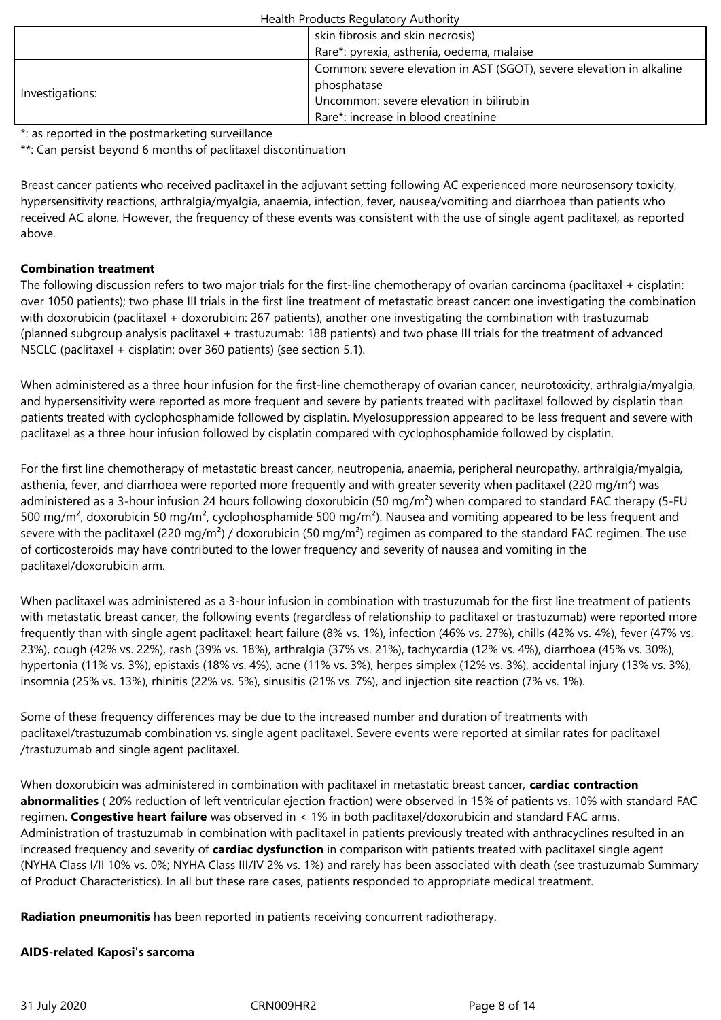|                 | skin fibrosis and skin necrosis)                                     |
|-----------------|----------------------------------------------------------------------|
|                 | Rare*: pyrexia, asthenia, oedema, malaise                            |
|                 | Common: severe elevation in AST (SGOT), severe elevation in alkaline |
|                 | phosphatase                                                          |
| Investigations: | Uncommon: severe elevation in bilirubin                              |
|                 | Rare*: increase in blood creatinine                                  |

\*: as reported in the postmarketing surveillance

\*\*: Can persist beyond 6 months of paclitaxel discontinuation

Breast cancer patients who received paclitaxel in the adjuvant setting following AC experienced more neurosensory toxicity, hypersensitivity reactions, arthralgia/myalgia, anaemia, infection, fever, nausea/vomiting and diarrhoea than patients who received AC alone. However, the frequency of these events was consistent with the use of single agent paclitaxel, as reported above.

## **Combination treatment**

The following discussion refers to two major trials for the first-line chemotherapy of ovarian carcinoma (paclitaxel + cisplatin: over 1050 patients); two phase III trials in the first line treatment of metastatic breast cancer: one investigating the combination with doxorubicin (paclitaxel + doxorubicin: 267 patients), another one investigating the combination with trastuzumab (planned subgroup analysis paclitaxel + trastuzumab: 188 patients) and two phase III trials for the treatment of advanced NSCLC (paclitaxel + cisplatin: over 360 patients) (see section 5.1).

When administered as a three hour infusion for the first-line chemotherapy of ovarian cancer, neurotoxicity, arthralgia/myalgia, and hypersensitivity were reported as more frequent and severe by patients treated with paclitaxel followed by cisplatin than patients treated with cyclophosphamide followed by cisplatin. Myelosuppression appeared to be less frequent and severe with paclitaxel as a three hour infusion followed by cisplatin compared with cyclophosphamide followed by cisplatin.

For the first line chemotherapy of metastatic breast cancer, neutropenia, anaemia, peripheral neuropathy, arthralgia/myalgia, asthenia, fever, and diarrhoea were reported more frequently and with greater severity when paclitaxel (220 mg/m<sup>2</sup>) was administered as a 3-hour infusion 24 hours following doxorubicin (50 mg/m<sup>2</sup>) when compared to standard FAC therapy (5-FU 500 mg/m², doxorubicin 50 mg/m², cyclophosphamide 500 mg/m²). Nausea and vomiting appeared to be less frequent and severe with the paclitaxel (220 mg/m<sup>2</sup>) / doxorubicin (50 mg/m<sup>2</sup>) regimen as compared to the standard FAC regimen. The use of corticosteroids may have contributed to the lower frequency and severity of nausea and vomiting in the paclitaxel/doxorubicin arm.

When paclitaxel was administered as a 3-hour infusion in combination with trastuzumab for the first line treatment of patients with metastatic breast cancer, the following events (regardless of relationship to paclitaxel or trastuzumab) were reported more frequently than with single agent paclitaxel: heart failure (8% vs. 1%), infection (46% vs. 27%), chills (42% vs. 4%), fever (47% vs. 23%), cough (42% vs. 22%), rash (39% vs. 18%), arthralgia (37% vs. 21%), tachycardia (12% vs. 4%), diarrhoea (45% vs. 30%), hypertonia (11% vs. 3%), epistaxis (18% vs. 4%), acne (11% vs. 3%), herpes simplex (12% vs. 3%), accidental injury (13% vs. 3%), insomnia (25% vs. 13%), rhinitis (22% vs. 5%), sinusitis (21% vs. 7%), and injection site reaction (7% vs. 1%).

Some of these frequency differences may be due to the increased number and duration of treatments with paclitaxel/trastuzumab combination vs. single agent paclitaxel. Severe events were reported at similar rates for paclitaxel /trastuzumab and single agent paclitaxel.

When doxorubicin was administered in combination with paclitaxel in metastatic breast cancer, **cardiac contraction abnormalities** ( 20% reduction of left ventricular ejection fraction) were observed in 15% of patients vs. 10% with standard FAC regimen. **Congestive heart failure** was observed in < 1% in both paclitaxel/doxorubicin and standard FAC arms. Administration of trastuzumab in combination with paclitaxel in patients previously treated with anthracyclines resulted in an increased frequency and severity of **cardiac dysfunction** in comparison with patients treated with paclitaxel single agent (NYHA Class I/II 10% vs. 0%; NYHA Class III/IV 2% vs. 1%) and rarely has been associated with death (see trastuzumab Summary of Product Characteristics). In all but these rare cases, patients responded to appropriate medical treatment.

**Radiation pneumonitis** has been reported in patients receiving concurrent radiotherapy.

## **AIDS-related Kaposi's sarcoma**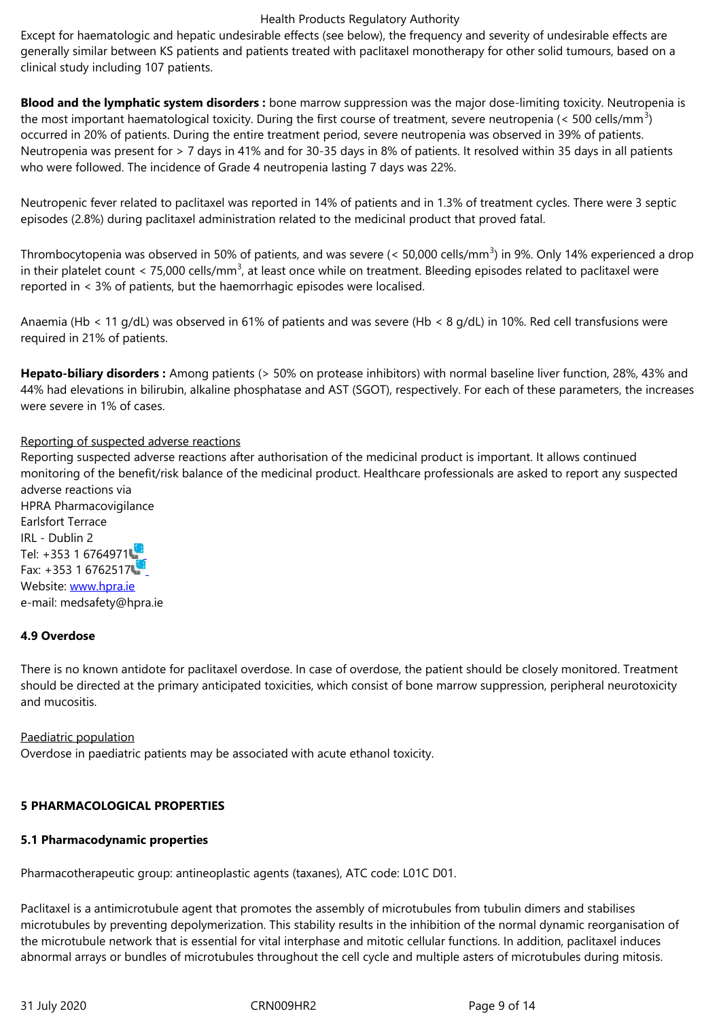clinical study including 107 patients.

**Blood and the lymphatic system disorders :** bone marrow suppression was the major dose-limiting toxicity. Neutropenia is the most important haematological toxicity. During the first course of treatment, severe neutropenia (< 500 cells/mm<sup>3</sup>) occurred in 20% of patients. During the entire treatment period, severe neutropenia was observed in 39% of patients. Neutropenia was present for > 7 days in 41% and for 30-35 days in 8% of patients. It resolved within 35 days in all patients who were followed. The incidence of Grade 4 neutropenia lasting 7 days was 22%.

Neutropenic fever related to paclitaxel was reported in 14% of patients and in 1.3% of treatment cycles. There were 3 septic episodes (2.8%) during paclitaxel administration related to the medicinal product that proved fatal.

Thrombocytopenia was observed in 50% of patients, and was severe (< 50,000 cells/mm<sup>3</sup>) in 9%. Only 14% experienced a drop in their platelet count < 75,000 cells/mm<sup>3</sup>, at least once while on treatment. Bleeding episodes related to paclitaxel were reported in < 3% of patients, but the haemorrhagic episodes were localised.

Anaemia (Hb < 11 g/dL) was observed in 61% of patients and was severe (Hb < 8 g/dL) in 10%. Red cell transfusions were required in 21% of patients.

**Hepato-biliary disorders :** Among patients (> 50% on protease inhibitors) with normal baseline liver function, 28%, 43% and 44% had elevations in bilirubin, alkaline phosphatase and AST (SGOT), respectively. For each of these parameters, the increases were severe in 1% of cases.

#### Reporting of suspected adverse reactions

Reporting suspected adverse reactions after authorisation of the medicinal product is important. It allows continued monitoring of the benefit/risk balance of the medicinal product. Healthcare professionals are asked to report any suspected adverse reactions via

HPRA Pharmacovigilance Earlsfort Terrace IRL - Dublin 2 Tel: +353 1 6764971 Fax: +353 1 6762517 Website: www.hpra.ie e-mail: medsafety@hpra.ie

## **4.9 Over[dose](http://www.hpra.ie/)**

There is no known antidote for paclitaxel overdose. In case of overdose, the patient should be closely monitored. Treatment should be directed at the primary anticipated toxicities, which consist of bone marrow suppression, peripheral neurotoxicity and mucositis.

Paediatric population Overdose in paediatric patients may be associated with acute ethanol toxicity.

#### **5 PHARMACOLOGICAL PROPERTIES**

#### **5.1 Pharmacodynamic properties**

Pharmacotherapeutic group: antineoplastic agents (taxanes), ATC code: L01C D01.

Paclitaxel is a antimicrotubule agent that promotes the assembly of microtubules from tubulin dimers and stabilises microtubules by preventing depolymerization. This stability results in the inhibition of the normal dynamic reorganisation of the microtubule network that is essential for vital interphase and mitotic cellular functions. In addition, paclitaxel induces abnormal arrays or bundles of microtubules throughout the cell cycle and multiple asters of microtubules during mitosis.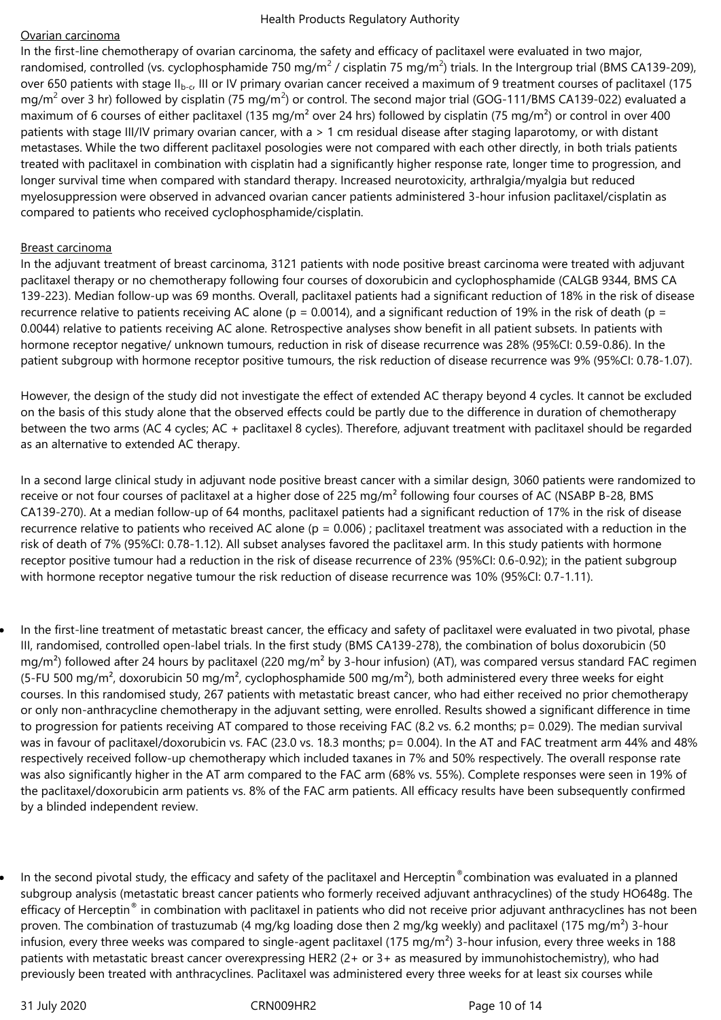## Ovarian carcinoma

In the first-line chemotherapy of ovarian carcinoma, the safety and efficacy of paclitaxel were evaluated in two major, randomised, controlled (vs. cyclophosphamide 750 mg/m<sup>2</sup> / cisplatin 75 mg/m<sup>2</sup>) trials. In the Intergroup trial (BMS CA139-209), over 650 patients with stage II<sub>b-c</sub>, III or IV primary ovarian cancer received a maximum of 9 treatment courses of paclitaxel (175 mg/m<sup>2</sup> over 3 hr) followed by cisplatin (75 mg/m<sup>2</sup>) or control. The second major trial (GOG-111/BMS CA139-022) evaluated a maximum of 6 courses of either paclitaxel (135 mg/m<sup>2</sup> over 24 hrs) followed by cisplatin (75 mg/m<sup>2</sup>) or control in over 400 patients with stage III/IV primary ovarian cancer, with a > 1 cm residual disease after staging laparotomy, or with distant metastases. While the two different paclitaxel posologies were not compared with each other directly, in both trials patients treated with paclitaxel in combination with cisplatin had a significantly higher response rate, longer time to progression, and longer survival time when compared with standard therapy. Increased neurotoxicity, arthralgia/myalgia but reduced myelosuppression were observed in advanced ovarian cancer patients administered 3-hour infusion paclitaxel/cisplatin as compared to patients who received cyclophosphamide/cisplatin.

## Breast carcinoma

In the adjuvant treatment of breast carcinoma, 3121 patients with node positive breast carcinoma were treated with adjuvant paclitaxel therapy or no chemotherapy following four courses of doxorubicin and cyclophosphamide (CALGB 9344, BMS CA 139-223). Median follow-up was 69 months. Overall, paclitaxel patients had a significant reduction of 18% in the risk of disease recurrence relative to patients receiving AC alone ( $p = 0.0014$ ), and a significant reduction of 19% in the risk of death ( $p =$ 0.0044) relative to patients receiving AC alone. Retrospective analyses show benefit in all patient subsets. In patients with hormone receptor negative/ unknown tumours, reduction in risk of disease recurrence was 28% (95%CI: 0.59-0.86). In the patient subgroup with hormone receptor positive tumours, the risk reduction of disease recurrence was 9% (95%CI: 0.78-1.07).

However, the design of the study did not investigate the effect of extended AC therapy beyond 4 cycles. It cannot be excluded on the basis of this study alone that the observed effects could be partly due to the difference in duration of chemotherapy between the two arms (AC 4 cycles; AC + paclitaxel 8 cycles). Therefore, adjuvant treatment with paclitaxel should be regarded as an alternative to extended AC therapy.

In a second large clinical study in adjuvant node positive breast cancer with a similar design, 3060 patients were randomized to receive or not four courses of paclitaxel at a higher dose of 225 mg/m<sup>2</sup> following four courses of AC (NSABP B-28, BMS CA139-270). At a median follow-up of 64 months, paclitaxel patients had a significant reduction of 17% in the risk of disease recurrence relative to patients who received AC alone ( $p = 0.006$ ); paclitaxel treatment was associated with a reduction in the risk of death of 7% (95%CI: 0.78-1.12). All subset analyses favored the paclitaxel arm. In this study patients with hormone receptor positive tumour had a reduction in the risk of disease recurrence of 23% (95%CI: 0.6-0.92); in the patient subgroup with hormone receptor negative tumour the risk reduction of disease recurrence was 10% (95%CI: 0.7-1.11).

- In the first-line treatment of metastatic breast cancer, the efficacy and safety of paclitaxel were evaluated in two pivotal, phase III, randomised, controlled open-label trials. In the first study (BMS CA139-278), the combination of bolus doxorubicin (50 mg/m<sup>2</sup>) followed after 24 hours by paclitaxel (220 mg/m<sup>2</sup> by 3-hour infusion) (AT), was compared versus standard FAC regimen (5-FU 500 mg/m<sup>2</sup>, doxorubicin 50 mg/m<sup>2</sup>, cyclophosphamide 500 mg/m<sup>2</sup>), both administered every three weeks for eight courses. In this randomised study, 267 patients with metastatic breast cancer, who had either received no prior chemotherapy or only non-anthracycline chemotherapy in the adjuvant setting, were enrolled. Results showed a significant difference in time to progression for patients receiving AT compared to those receiving FAC (8.2 vs. 6.2 months; p= 0.029). The median survival was in favour of paclitaxel/doxorubicin vs. FAC (23.0 vs. 18.3 months; p= 0.004). In the AT and FAC treatment arm 44% and 48% respectively received follow-up chemotherapy which included taxanes in 7% and 50% respectively. The overall response rate was also significantly higher in the AT arm compared to the FAC arm (68% vs. 55%). Complete responses were seen in 19% of the paclitaxel/doxorubicin arm patients vs. 8% of the FAC arm patients. All efficacy results have been subsequently confirmed by a blinded independent review.
- In the second pivotal study, the efficacy and safety of the paclitaxel and Herceptin®combination was evaluated in a planned subgroup analysis (metastatic breast cancer patients who formerly received adjuvant anthracyclines) of the study HO648g. The efficacy of Herceptin® in combination with paclitaxel in patients who did not receive prior adjuvant anthracyclines has not been proven. The combination of trastuzumab (4 mg/kg loading dose then 2 mg/kg weekly) and paclitaxel (175 mg/m<sup>2</sup>) 3-hour infusion, every three weeks was compared to single-agent paclitaxel (175 mg/m<sup>2</sup>) 3-hour infusion, every three weeks in 188 patients with metastatic breast cancer overexpressing HER2 (2+ or 3+ as measured by immunohistochemistry), who had previously been treated with anthracyclines. Paclitaxel was administered every three weeks for at least six courses while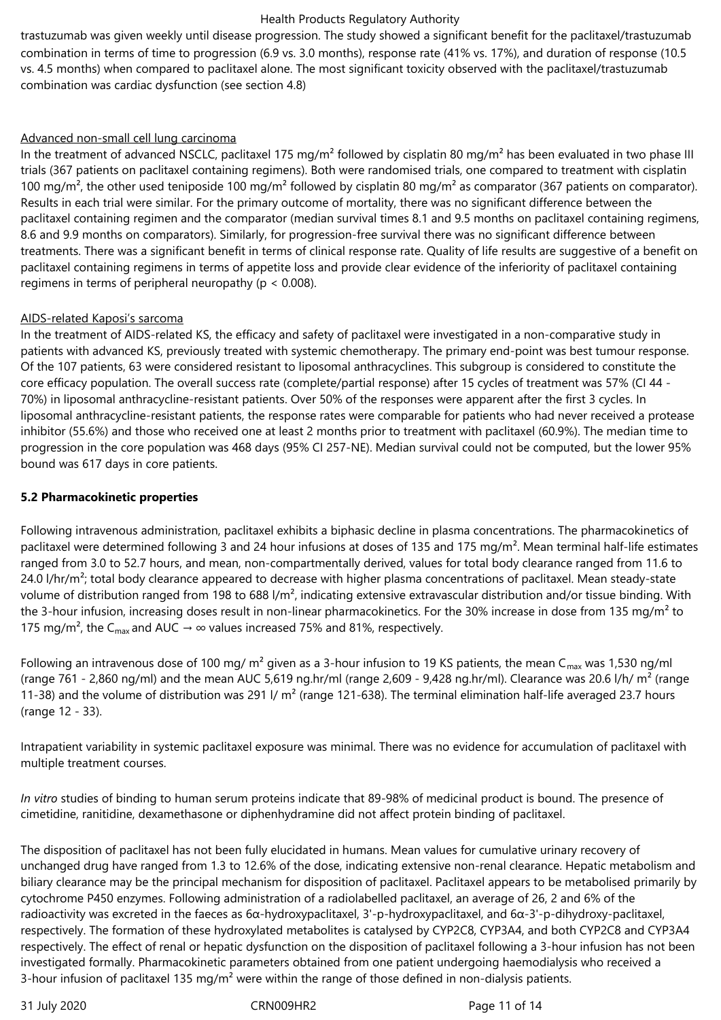trastuzumab was given weekly until disease progression. The study showed a significant benefit for the paclitaxel/trastuzumab combination in terms of time to progression (6.9 vs. 3.0 months), response rate (41% vs. 17%), and duration of response (10.5 vs. 4.5 months) when compared to paclitaxel alone. The most significant toxicity observed with the paclitaxel/trastuzumab combination was cardiac dysfunction (see section 4.8)

### Advanced non-small cell lung carcinoma

In the treatment of advanced NSCLC, paclitaxel 175 mg/m<sup>2</sup> followed by cisplatin 80 mg/m<sup>2</sup> has been evaluated in two phase III trials (367 patients on paclitaxel containing regimens). Both were randomised trials, one compared to treatment with cisplatin 100 mg/m<sup>2</sup>, the other used teniposide 100 mg/m<sup>2</sup> followed by cisplatin 80 mg/m<sup>2</sup> as comparator (367 patients on comparator). Results in each trial were similar. For the primary outcome of mortality, there was no significant difference between the paclitaxel containing regimen and the comparator (median survival times 8.1 and 9.5 months on paclitaxel containing regimens, 8.6 and 9.9 months on comparators). Similarly, for progression-free survival there was no significant difference between treatments. There was a significant benefit in terms of clinical response rate. Quality of life results are suggestive of a benefit on paclitaxel containing regimens in terms of appetite loss and provide clear evidence of the inferiority of paclitaxel containing regimens in terms of peripheral neuropathy ( $p < 0.008$ ).

## AIDS-related Kaposi's sarcoma

In the treatment of AIDS-related KS, the efficacy and safety of paclitaxel were investigated in a non-comparative study in patients with advanced KS, previously treated with systemic chemotherapy. The primary end-point was best tumour response. Of the 107 patients, 63 were considered resistant to liposomal anthracyclines. This subgroup is considered to constitute the core efficacy population. The overall success rate (complete/partial response) after 15 cycles of treatment was 57% (CI 44 - 70%) in liposomal anthracycline-resistant patients. Over 50% of the responses were apparent after the first 3 cycles. In liposomal anthracycline-resistant patients, the response rates were comparable for patients who had never received a protease inhibitor (55.6%) and those who received one at least 2 months prior to treatment with paclitaxel (60.9%). The median time to progression in the core population was 468 days (95% CI 257-NE). Median survival could not be computed, but the lower 95% bound was 617 days in core patients.

## **5.2 Pharmacokinetic properties**

Following intravenous administration, paclitaxel exhibits a biphasic decline in plasma concentrations. The pharmacokinetics of paclitaxel were determined following 3 and 24 hour infusions at doses of 135 and 175 mg/m². Mean terminal half-life estimates ranged from 3.0 to 52.7 hours, and mean, non-compartmentally derived, values for total body clearance ranged from 11.6 to 24.0  $I/hr/m<sup>2</sup>$ ; total body clearance appeared to decrease with higher plasma concentrations of paclitaxel. Mean steady-state volume of distribution ranged from 198 to 688  $1/m<sup>2</sup>$ , indicating extensive extravascular distribution and/or tissue binding. With the 3-hour infusion, increasing doses result in non-linear pharmacokinetics. For the 30% increase in dose from 135 mg/m<sup>2</sup> to 175 mg/m<sup>2</sup>, the C<sub>max</sub> and AUC  $\rightarrow \infty$  values increased 75% and 81%, respectively.

Following an intravenous dose of 100 mg/  $m^2$  given as a 3-hour infusion to 19 KS patients, the mean C<sub>max</sub> was 1,530 ng/ml (range 761 - 2,860 ng/ml) and the mean AUC 5,619 ng.hr/ml (range 2,609 - 9,428 ng.hr/ml). Clearance was 20.6 l/h/  $m^2$  (range 11-38) and the volume of distribution was 291 I/  $m<sup>2</sup>$  (range 121-638). The terminal elimination half-life averaged 23.7 hours (range 12 - 33).

Intrapatient variability in systemic paclitaxel exposure was minimal. There was no evidence for accumulation of paclitaxel with multiple treatment courses.

*In vitro* studies of binding to human serum proteins indicate that 89-98% of medicinal product is bound. The presence of cimetidine, ranitidine, dexamethasone or diphenhydramine did not affect protein binding of paclitaxel.

The disposition of paclitaxel has not been fully elucidated in humans. Mean values for cumulative urinary recovery of unchanged drug have ranged from 1.3 to 12.6% of the dose, indicating extensive non-renal clearance. Hepatic metabolism and biliary clearance may be the principal mechanism for disposition of paclitaxel. Paclitaxel appears to be metabolised primarily by cytochrome P450 enzymes. Following administration of a radiolabelled paclitaxel, an average of 26, 2 and 6% of the radioactivity was excreted in the faeces as 6α-hydroxypaclitaxel, 3'-p-hydroxypaclitaxel, and 6α-3'-p-dihydroxy-paclitaxel, respectively. The formation of these hydroxylated metabolites is catalysed by CYP2C8, CYP3A4, and both CYP2C8 and CYP3A4 respectively. The effect of renal or hepatic dysfunction on the disposition of paclitaxel following a 3-hour infusion has not been investigated formally. Pharmacokinetic parameters obtained from one patient undergoing haemodialysis who received a 3-hour infusion of paclitaxel 135 mg/m<sup>2</sup> were within the range of those defined in non-dialysis patients.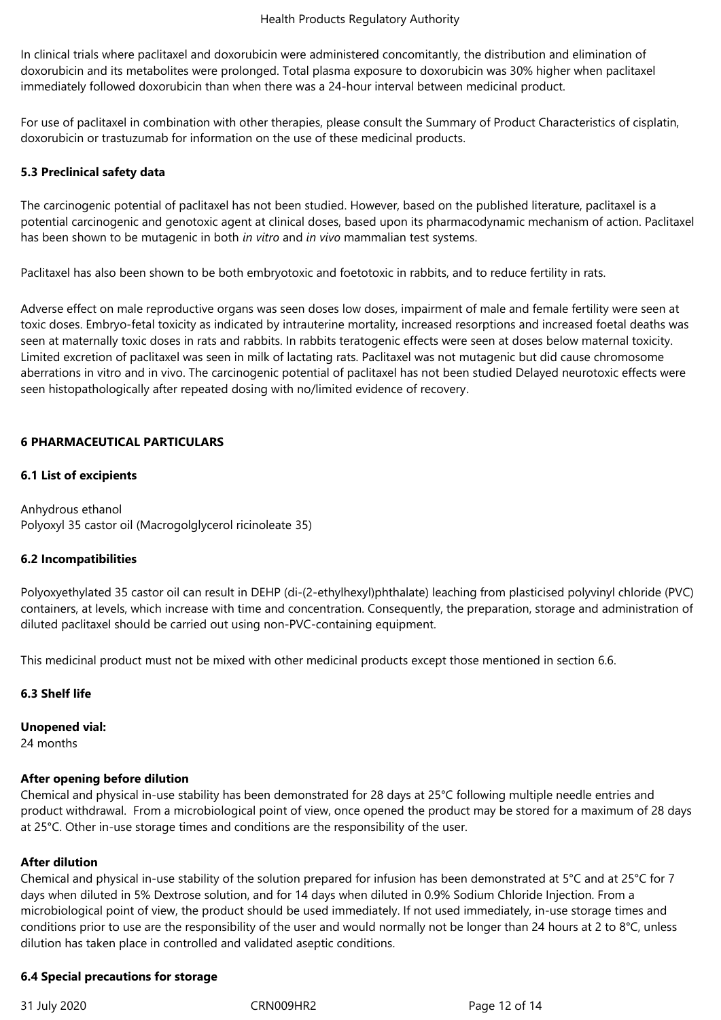In clinical trials where paclitaxel and doxorubicin were administered concomitantly, the distribution and elimination of doxorubicin and its metabolites were prolonged. Total plasma exposure to doxorubicin was 30% higher when paclitaxel immediately followed doxorubicin than when there was a 24-hour interval between medicinal product.

For use of paclitaxel in combination with other therapies, please consult the Summary of Product Characteristics of cisplatin, doxorubicin or trastuzumab for information on the use of these medicinal products.

## **5.3 Preclinical safety data**

The carcinogenic potential of paclitaxel has not been studied. However, based on the published literature, paclitaxel is a potential carcinogenic and genotoxic agent at clinical doses, based upon its pharmacodynamic mechanism of action. Paclitaxel has been shown to be mutagenic in both *in vitro* and *in vivo* mammalian test systems.

Paclitaxel has also been shown to be both embryotoxic and foetotoxic in rabbits, and to reduce fertility in rats.

Adverse effect on male reproductive organs was seen doses low doses, impairment of male and female fertility were seen at toxic doses. Embryo-fetal toxicity as indicated by intrauterine mortality, increased resorptions and increased foetal deaths was seen at maternally toxic doses in rats and rabbits. In rabbits teratogenic effects were seen at doses below maternal toxicity. Limited excretion of paclitaxel was seen in milk of lactating rats. Paclitaxel was not mutagenic but did cause chromosome aberrations in vitro and in vivo. The carcinogenic potential of paclitaxel has not been studied Delayed neurotoxic effects were seen histopathologically after repeated dosing with no/limited evidence of recovery.

## **6 PHARMACEUTICAL PARTICULARS**

## **6.1 List of excipients**

Anhydrous ethanol Polyoxyl 35 castor oil (Macrogolglycerol ricinoleate 35)

#### **6.2 Incompatibilities**

Polyoxyethylated 35 castor oil can result in DEHP (di-(2-ethylhexyl)phthalate) leaching from plasticised polyvinyl chloride (PVC) containers, at levels, which increase with time and concentration. Consequently, the preparation, storage and administration of diluted paclitaxel should be carried out using non-PVC-containing equipment.

This medicinal product must not be mixed with other medicinal products except those mentioned in section 6.6.

#### **6.3 Shelf life**

**Unopened vial:**

24 months

#### **After opening before dilution**

Chemical and physical in-use stability has been demonstrated for 28 days at 25°C following multiple needle entries and product withdrawal. From a microbiological point of view, once opened the product may be stored for a maximum of 28 days at 25°C. Other in-use storage times and conditions are the responsibility of the user.

#### **After dilution**

Chemical and physical in-use stability of the solution prepared for infusion has been demonstrated at 5°C and at 25°C for 7 days when diluted in 5% Dextrose solution, and for 14 days when diluted in 0.9% Sodium Chloride Injection. From a microbiological point of view, the product should be used immediately. If not used immediately, in-use storage times and conditions prior to use are the responsibility of the user and would normally not be longer than 24 hours at 2 to 8°C, unless dilution has taken place in controlled and validated aseptic conditions.

#### **6.4 Special precautions for storage**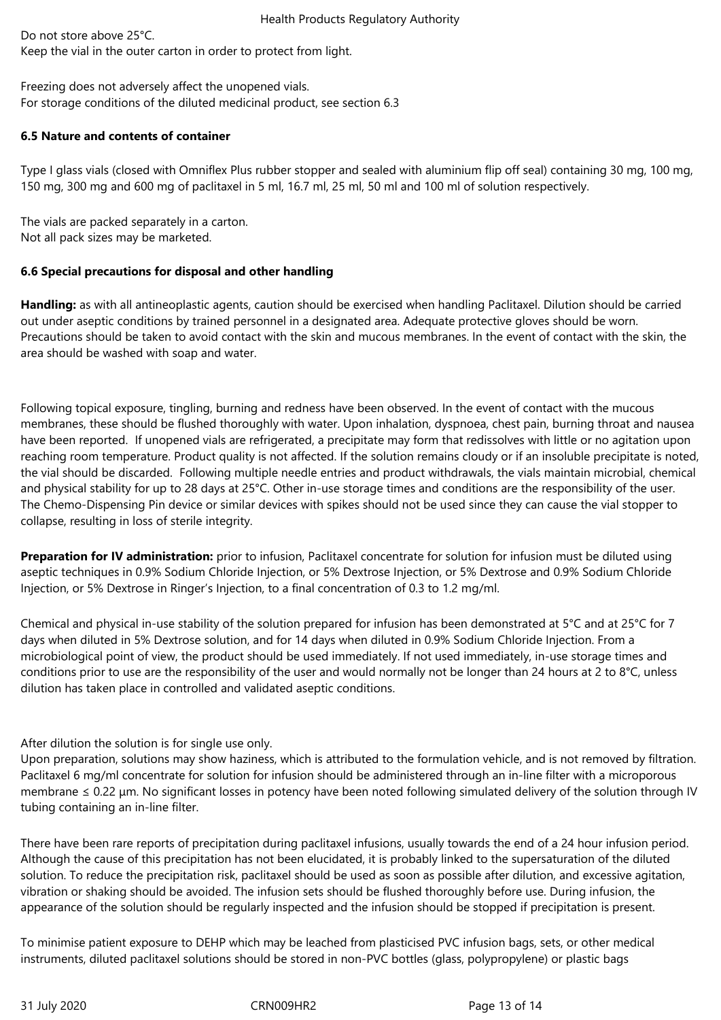Do not store above 25°C. Keep the vial in the outer carton in order to protect from light.

Freezing does not adversely affect the unopened vials*.* For storage conditions of the diluted medicinal product, see section 6.3

## **6.5 Nature and contents of container**

Type I glass vials (closed with Omniflex Plus rubber stopper and sealed with aluminium flip off seal) containing 30 mg, 100 mg, 150 mg, 300 mg and 600 mg of paclitaxel in 5 ml, 16.7 ml, 25 ml, 50 ml and 100 ml of solution respectively.

The vials are packed separately in a carton. Not all pack sizes may be marketed.

# **6.6 Special precautions for disposal and other handling**

**Handling:** as with all antineoplastic agents, caution should be exercised when handling Paclitaxel. Dilution should be carried out under aseptic conditions by trained personnel in a designated area. Adequate protective gloves should be worn. Precautions should be taken to avoid contact with the skin and mucous membranes. In the event of contact with the skin, the area should be washed with soap and water.

Following topical exposure, tingling, burning and redness have been observed. In the event of contact with the mucous membranes, these should be flushed thoroughly with water. Upon inhalation, dyspnoea, chest pain, burning throat and nausea have been reported. If unopened vials are refrigerated, a precipitate may form that redissolves with little or no agitation upon reaching room temperature. Product quality is not affected. If the solution remains cloudy or if an insoluble precipitate is noted, the vial should be discarded. Following multiple needle entries and product withdrawals, the vials maintain microbial, chemical and physical stability for up to 28 days at 25°C. Other in-use storage times and conditions are the responsibility of the user. The Chemo-Dispensing Pin device or similar devices with spikes should not be used since they can cause the vial stopper to collapse, resulting in loss of sterile integrity.

**Preparation for IV administration:** prior to infusion, Paclitaxel concentrate for solution for infusion must be diluted using aseptic techniques in 0.9% Sodium Chloride Injection, or 5% Dextrose Injection, or 5% Dextrose and 0.9% Sodium Chloride Injection, or 5% Dextrose in Ringer's Injection, to a final concentration of 0.3 to 1.2 mg/ml.

Chemical and physical in-use stability of the solution prepared for infusion has been demonstrated at 5°C and at 25°C for 7 days when diluted in 5% Dextrose solution, and for 14 days when diluted in 0.9% Sodium Chloride Injection. From a microbiological point of view, the product should be used immediately. If not used immediately, in-use storage times and conditions prior to use are the responsibility of the user and would normally not be longer than 24 hours at 2 to 8°C, unless dilution has taken place in controlled and validated aseptic conditions.

# After dilution the solution is for single use only.

Upon preparation, solutions may show haziness, which is attributed to the formulation vehicle, and is not removed by filtration. Paclitaxel 6 mg/ml concentrate for solution for infusion should be administered through an in-line filter with a microporous membrane ≤ 0.22 μm. No significant losses in potency have been noted following simulated delivery of the solution through IV tubing containing an in-line filter.

There have been rare reports of precipitation during paclitaxel infusions, usually towards the end of a 24 hour infusion period. Although the cause of this precipitation has not been elucidated, it is probably linked to the supersaturation of the diluted solution. To reduce the precipitation risk, paclitaxel should be used as soon as possible after dilution, and excessive agitation, vibration or shaking should be avoided. The infusion sets should be flushed thoroughly before use. During infusion, the appearance of the solution should be regularly inspected and the infusion should be stopped if precipitation is present.

To minimise patient exposure to DEHP which may be leached from plasticised PVC infusion bags, sets, or other medical instruments, diluted paclitaxel solutions should be stored in non-PVC bottles (glass, polypropylene) or plastic bags